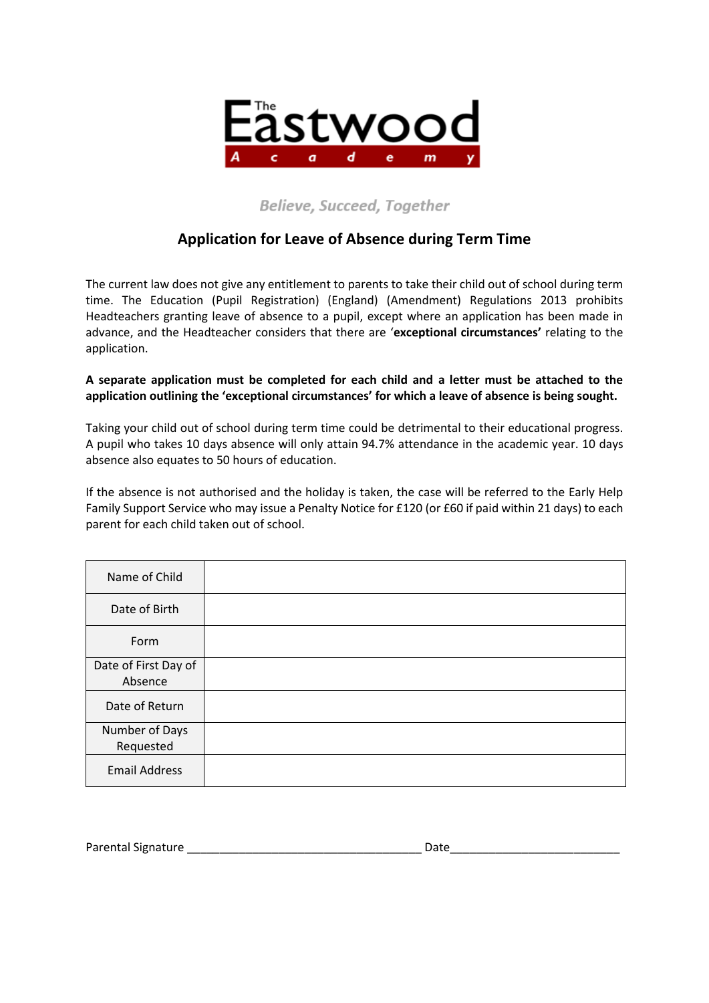

### **Believe, Succeed, Together**

## **Application for Leave of Absence during Term Time**

The current law does not give any entitlement to parents to take their child out of school during term time. The Education (Pupil Registration) (England) (Amendment) Regulations 2013 prohibits Headteachers granting leave of absence to a pupil, except where an application has been made in advance, and the Headteacher considers that there are '**exceptional circumstances'** relating to the application.

#### **A separate application must be completed for each child and a letter must be attached to the application outlining the 'exceptional circumstances' for which a leave of absence is being sought.**

Taking your child out of school during term time could be detrimental to their educational progress. A pupil who takes 10 days absence will only attain 94.7% attendance in the academic year. 10 days absence also equates to 50 hours of education.

If the absence is not authorised and the holiday is taken, the case will be referred to the Early Help Family Support Service who may issue a Penalty Notice for £120 (or £60 if paid within 21 days) to each parent for each child taken out of school.

| Name of Child        |  |
|----------------------|--|
| Date of Birth        |  |
| Form                 |  |
| Date of First Day of |  |
| Absence              |  |
| Date of Return       |  |
| Number of Days       |  |
| Requested            |  |
| <b>Email Address</b> |  |

Parental Signature Late and the Date of Parental Signature Late and the Date of Parental Signature Date